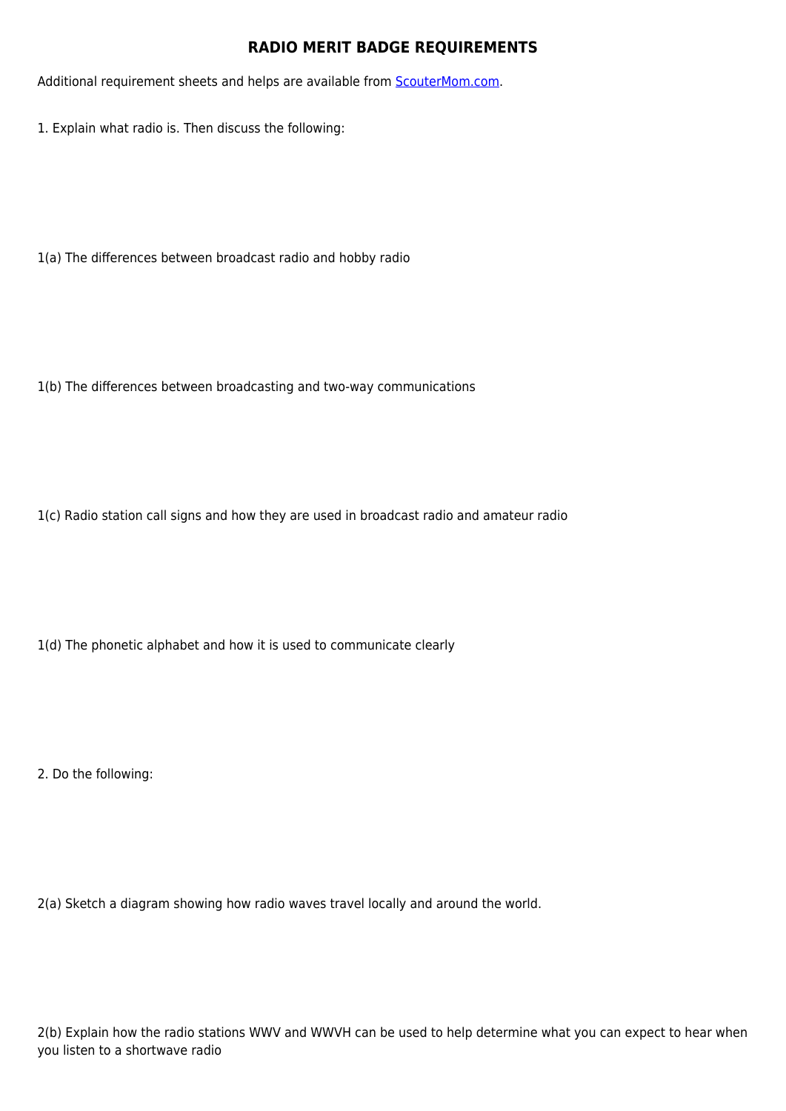## **RADIO MERIT BADGE REQUIREMENTS**

Additional requirement sheets and helps are available from **[ScouterMom.com](http://scoutermom.com).** 

1. Explain what radio is. Then discuss the following:

1(a) The differences between broadcast radio and hobby radio

1(b) The differences between broadcasting and two-way communications

1(c) Radio station call signs and how they are used in broadcast radio and amateur radio

1(d) The phonetic alphabet and how it is used to communicate clearly

2. Do the following:

2(a) Sketch a diagram showing how radio waves travel locally and around the world.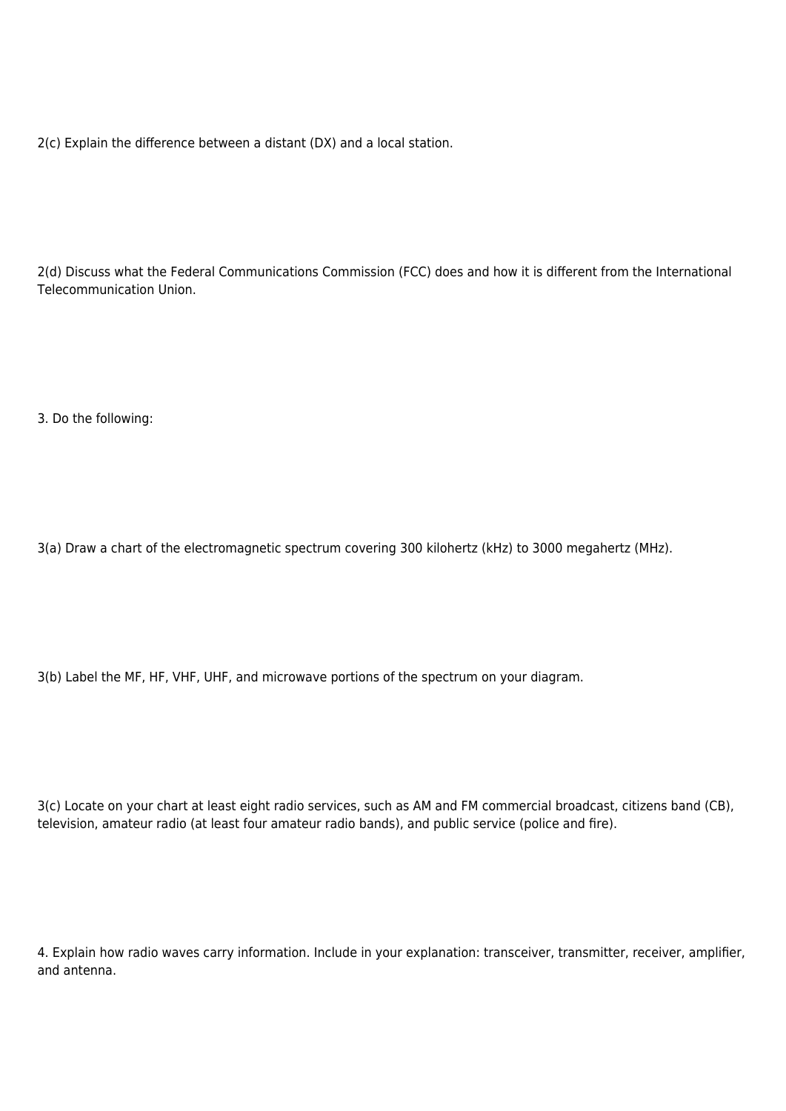2(c) Explain the difference between a distant (DX) and a local station.

2(d) Discuss what the Federal Communications Commission (FCC) does and how it is different from the International Telecommunication Union.

3. Do the following:

3(a) Draw a chart of the electromagnetic spectrum covering 300 kilohertz (kHz) to 3000 megahertz (MHz).

3(b) Label the MF, HF, VHF, UHF, and microwave portions of the spectrum on your diagram.

3(c) Locate on your chart at least eight radio services, such as AM and FM commercial broadcast, citizens band (CB), television, amateur radio (at least four amateur radio bands), and public service (police and fire).

4. Explain how radio waves carry information. Include in your explanation: transceiver, transmitter, receiver, amplifier, and antenna.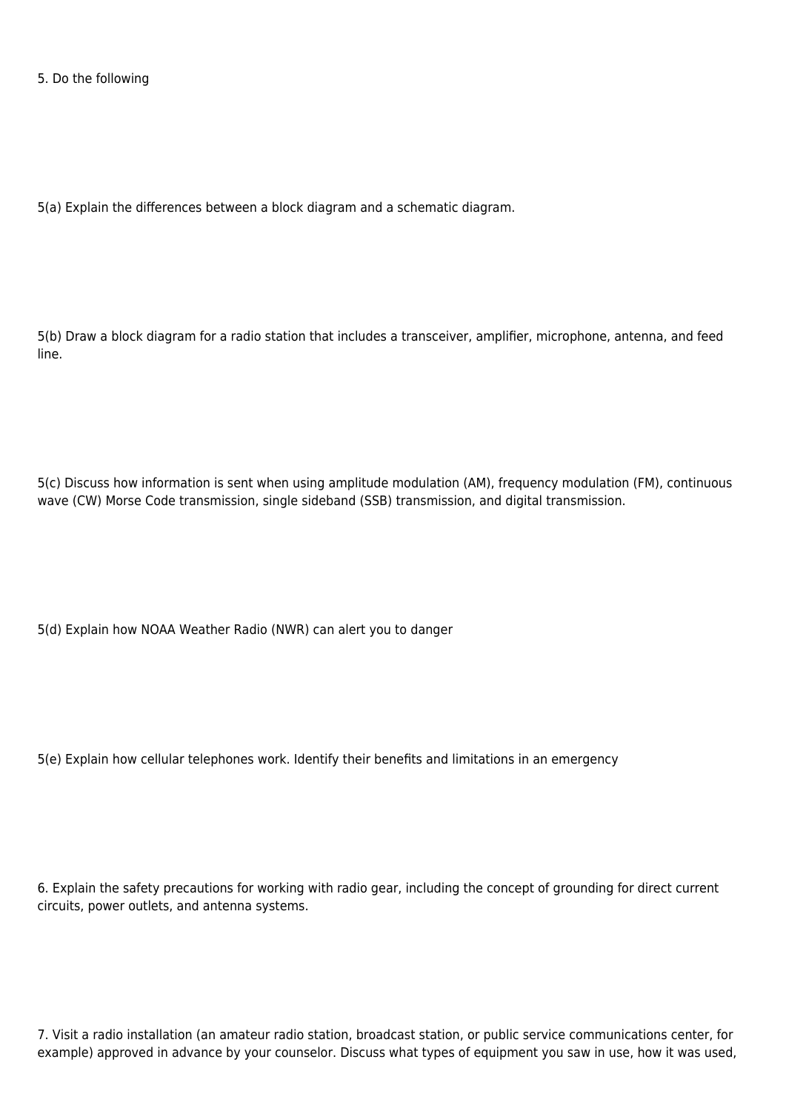5. Do the following

5(a) Explain the differences between a block diagram and a schematic diagram.

5(b) Draw a block diagram for a radio station that includes a transceiver, amplifier, microphone, antenna, and feed line.

5(c) Discuss how information is sent when using amplitude modulation (AM), frequency modulation (FM), continuous wave (CW) Morse Code transmission, single sideband (SSB) transmission, and digital transmission.

5(d) Explain how NOAA Weather Radio (NWR) can alert you to danger

5(e) Explain how cellular telephones work. Identify their benefits and limitations in an emergency

6. Explain the safety precautions for working with radio gear, including the concept of grounding for direct current circuits, power outlets, and antenna systems.

7. Visit a radio installation (an amateur radio station, broadcast station, or public service communications center, for example) approved in advance by your counselor. Discuss what types of equipment you saw in use, how it was used,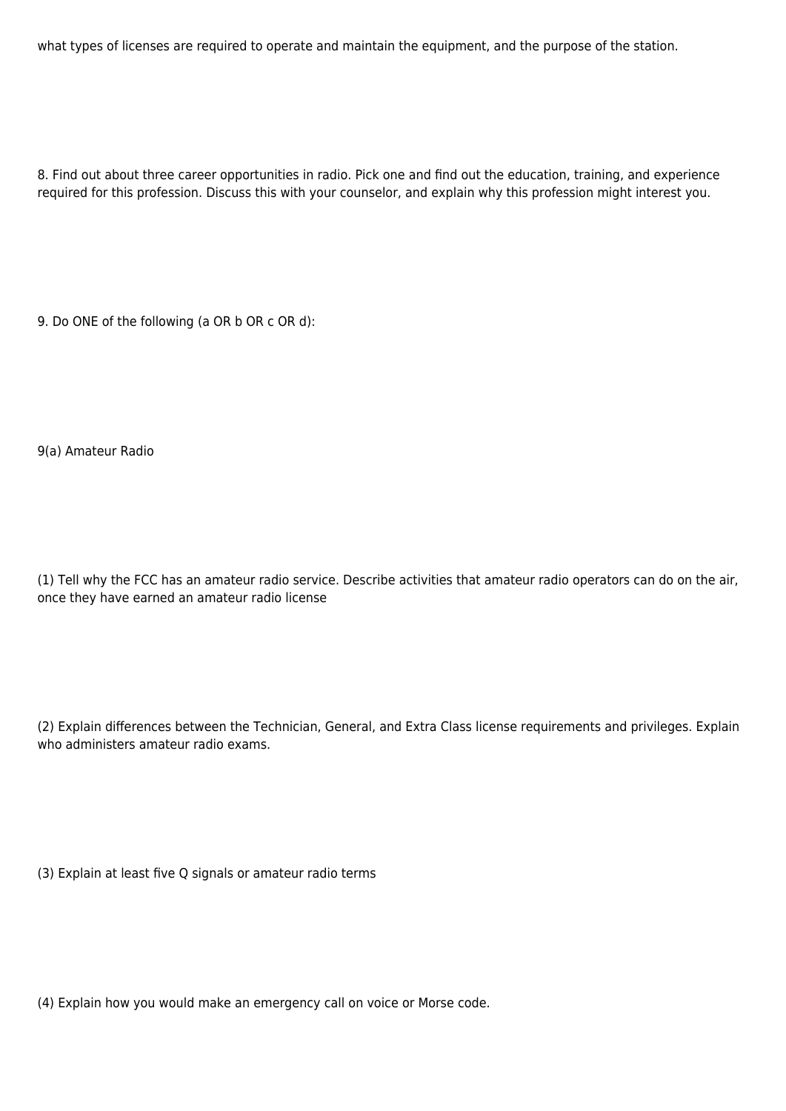what types of licenses are required to operate and maintain the equipment, and the purpose of the station.

8. Find out about three career opportunities in radio. Pick one and find out the education, training, and experience required for this profession. Discuss this with your counselor, and explain why this profession might interest you.

9. Do ONE of the following (a OR b OR c OR d):

9(a) Amateur Radio

(1) Tell why the FCC has an amateur radio service. Describe activities that amateur radio operators can do on the air, once they have earned an amateur radio license

(2) Explain differences between the Technician, General, and Extra Class license requirements and privileges. Explain who administers amateur radio exams.

(3) Explain at least five Q signals or amateur radio terms

(4) Explain how you would make an emergency call on voice or Morse code.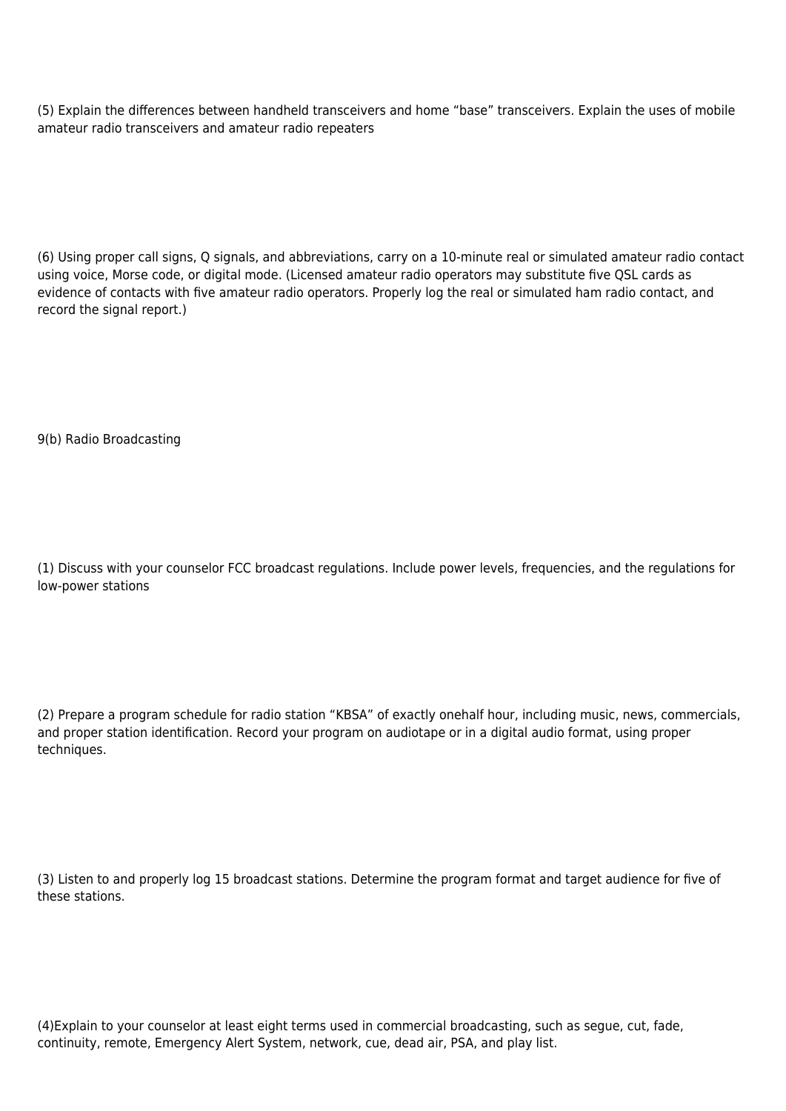(5) Explain the differences between handheld transceivers and home "base" transceivers. Explain the uses of mobile amateur radio transceivers and amateur radio repeaters

(6) Using proper call signs, Q signals, and abbreviations, carry on a 10-minute real or simulated amateur radio contact using voice, Morse code, or digital mode. (Licensed amateur radio operators may substitute five QSL cards as evidence of contacts with five amateur radio operators. Properly log the real or simulated ham radio contact, and record the signal report.)

9(b) Radio Broadcasting

(1) Discuss with your counselor FCC broadcast regulations. Include power levels, frequencies, and the regulations for low-power stations

(2) Prepare a program schedule for radio station "KBSA" of exactly onehalf hour, including music, news, commercials, and proper station identification. Record your program on audiotape or in a digital audio format, using proper techniques.

(3) Listen to and properly log 15 broadcast stations. Determine the program format and target audience for five of these stations.

(4)Explain to your counselor at least eight terms used in commercial broadcasting, such as segue, cut, fade, continuity, remote, Emergency Alert System, network, cue, dead air, PSA, and play list.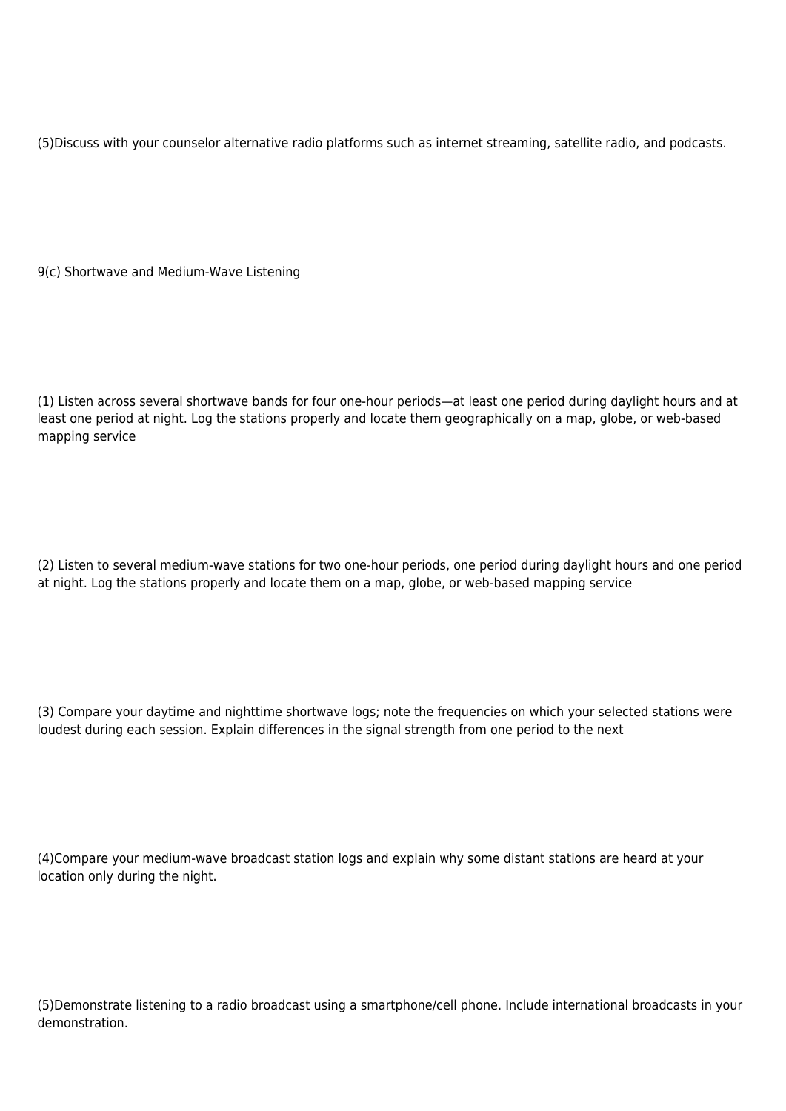(5)Discuss with your counselor alternative radio platforms such as internet streaming, satellite radio, and podcasts.

9(c) Shortwave and Medium-Wave Listening

(1) Listen across several shortwave bands for four one-hour periods—at least one period during daylight hours and at least one period at night. Log the stations properly and locate them geographically on a map, globe, or web-based mapping service

(2) Listen to several medium-wave stations for two one-hour periods, one period during daylight hours and one period at night. Log the stations properly and locate them on a map, globe, or web-based mapping service

(3) Compare your daytime and nighttime shortwave logs; note the frequencies on which your selected stations were loudest during each session. Explain differences in the signal strength from one period to the next

(4)Compare your medium-wave broadcast station logs and explain why some distant stations are heard at your location only during the night.

(5)Demonstrate listening to a radio broadcast using a smartphone/cell phone. Include international broadcasts in your demonstration.